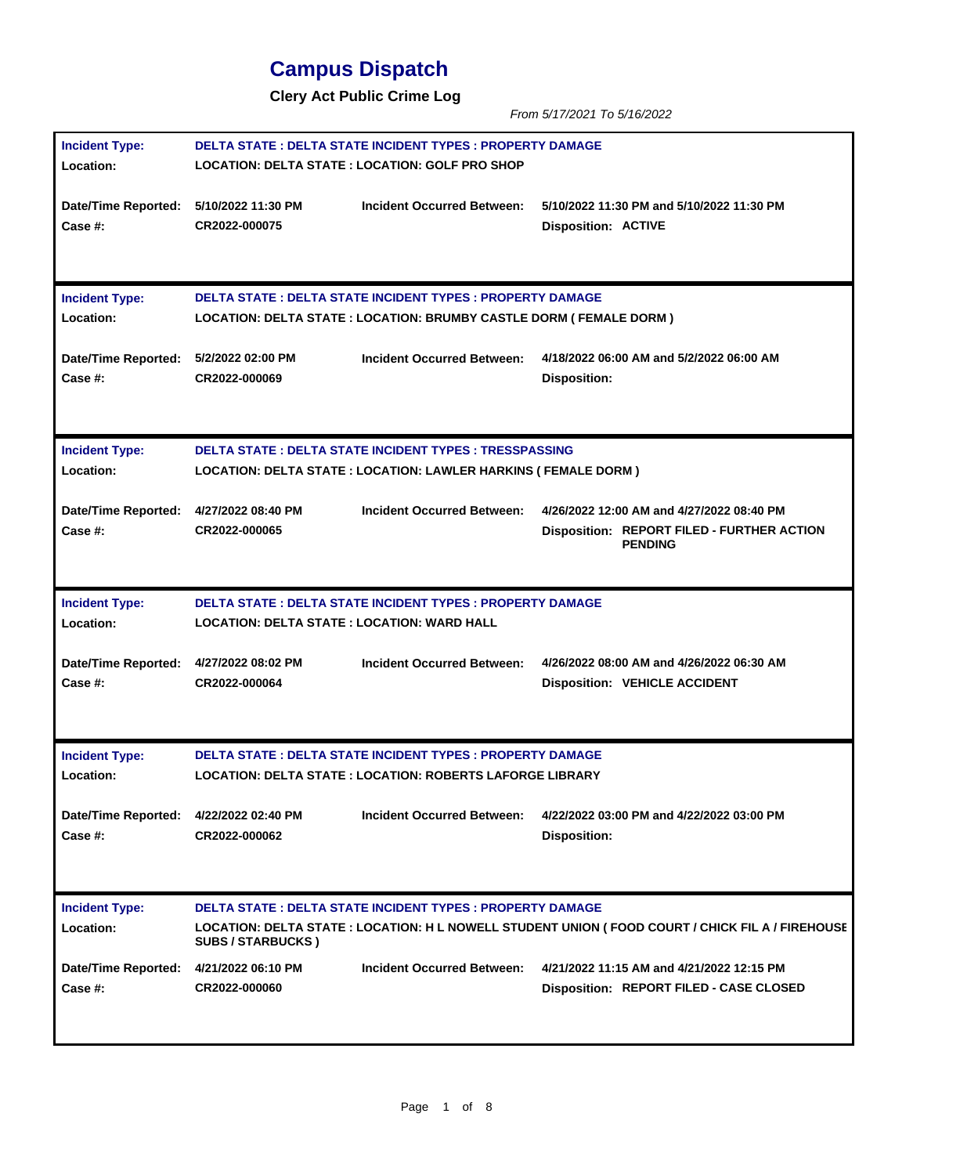## **Campus Dispatch**

**Clery Act Public Crime Log**

*From 5/17/2021 To 5/16/2022*

| <b>Incident Type:</b>                             | DELTA STATE : DELTA STATE INCIDENT TYPES : PROPERTY DAMAGE                                                                                |                                                                   |                                                                                                   |  |
|---------------------------------------------------|-------------------------------------------------------------------------------------------------------------------------------------------|-------------------------------------------------------------------|---------------------------------------------------------------------------------------------------|--|
| Location:                                         | LOCATION: DELTA STATE : LOCATION: GOLF PRO SHOP                                                                                           |                                                                   |                                                                                                   |  |
| Date/Time Reported: 5/10/2022 11:30 PM<br>Case #: | CR2022-000075                                                                                                                             | <b>Incident Occurred Between:</b>                                 | 5/10/2022 11:30 PM and 5/10/2022 11:30 PM<br><b>Disposition: ACTIVE</b>                           |  |
| <b>Incident Type:</b><br>Location:                | <b>DELTA STATE : DELTA STATE INCIDENT TYPES : PROPERTY DAMAGE</b><br>LOCATION: DELTA STATE : LOCATION: BRUMBY CASTLE DORM ( FEMALE DORM ) |                                                                   |                                                                                                   |  |
| Date/Time Reported: 5/2/2022 02:00 PM<br>Case #:  | CR2022-000069                                                                                                                             | <b>Incident Occurred Between:</b>                                 | 4/18/2022 06:00 AM and 5/2/2022 06:00 AM<br><b>Disposition:</b>                                   |  |
| <b>Incident Type:</b><br>Location:                | <b>DELTA STATE: DELTA STATE INCIDENT TYPES: TRESSPASSING</b><br>LOCATION: DELTA STATE : LOCATION: LAWLER HARKINS ( FEMALE DORM )          |                                                                   |                                                                                                   |  |
| Date/Time Reported: 4/27/2022 08:40 PM            |                                                                                                                                           | <b>Incident Occurred Between:</b>                                 | 4/26/2022 12:00 AM and 4/27/2022 08:40 PM                                                         |  |
| <b>Case #:</b>                                    | CR2022-000065                                                                                                                             |                                                                   | Disposition: REPORT FILED - FURTHER ACTION<br><b>PENDING</b>                                      |  |
| <b>Incident Type:</b><br>Location:                | LOCATION: DELTA STATE : LOCATION: WARD HALL                                                                                               | <b>DELTA STATE : DELTA STATE INCIDENT TYPES : PROPERTY DAMAGE</b> |                                                                                                   |  |
| Date/Time Reported: 4/27/2022 08:02 PM<br>Case #: | CR2022-000064                                                                                                                             | Incident Occurred Between:                                        | 4/26/2022 08:00 AM and 4/26/2022 06:30 AM<br><b>Disposition: VEHICLE ACCIDENT</b>                 |  |
| <b>Incident Type:</b>                             |                                                                                                                                           | <b>DELTA STATE : DELTA STATE INCIDENT TYPES : PROPERTY DAMAGE</b> |                                                                                                   |  |
| Location:                                         |                                                                                                                                           | <b>LOCATION: DELTA STATE : LOCATION: ROBERTS LAFORGE LIBRARY</b>  |                                                                                                   |  |
| Date/Time Reported: 4/22/2022 02:40 PM<br>Case #: | CR2022-000062                                                                                                                             | <b>Incident Occurred Between:</b>                                 | 4/22/2022 03:00 PM and 4/22/2022 03:00 PM<br><b>Disposition:</b>                                  |  |
| <b>Incident Type:</b>                             |                                                                                                                                           | <b>DELTA STATE : DELTA STATE INCIDENT TYPES : PROPERTY DAMAGE</b> |                                                                                                   |  |
| Location:                                         | <b>SUBS / STARBUCKS )</b>                                                                                                                 |                                                                   | LOCATION: DELTA STATE : LOCATION: H L NOWELL STUDENT UNION ( FOOD COURT / CHICK FIL A / FIREHOUSE |  |
| <b>Date/Time Reported:</b><br>Case #:             | 4/21/2022 06:10 PM<br>CR2022-000060                                                                                                       | <b>Incident Occurred Between:</b>                                 | 4/21/2022 11:15 AM and 4/21/2022 12:15 PM<br>Disposition: REPORT FILED - CASE CLOSED              |  |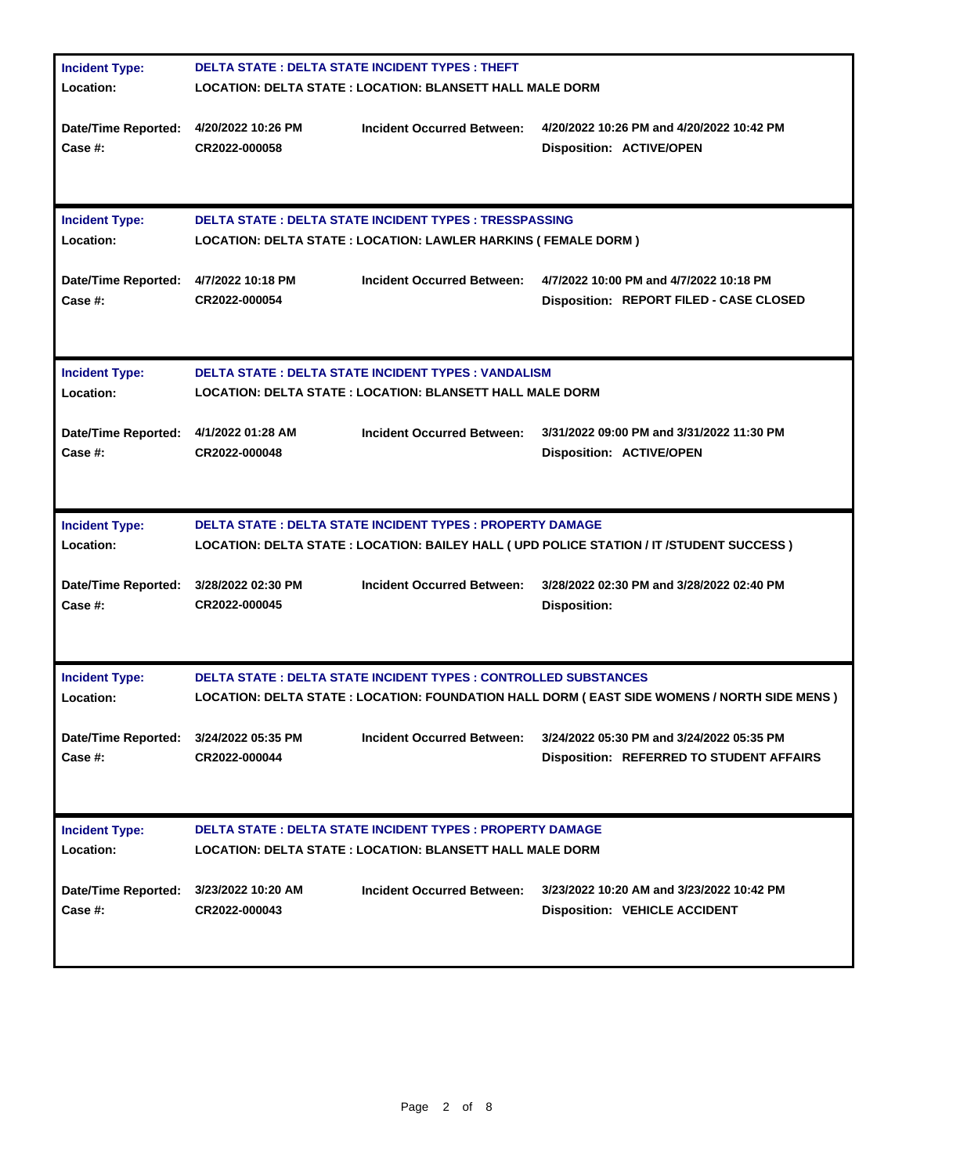| <b>Incident Type:</b>                  | <b>DELTA STATE: DELTA STATE INCIDENT TYPES: THEFT</b>     |                                                                         |                                                                                               |  |
|----------------------------------------|-----------------------------------------------------------|-------------------------------------------------------------------------|-----------------------------------------------------------------------------------------------|--|
| Location:                              | LOCATION: DELTA STATE : LOCATION: BLANSETT HALL MALE DORM |                                                                         |                                                                                               |  |
|                                        |                                                           |                                                                         |                                                                                               |  |
| Date/Time Reported: 4/20/2022 10:26 PM |                                                           | <b>Incident Occurred Between:</b>                                       | 4/20/2022 10:26 PM and 4/20/2022 10:42 PM                                                     |  |
| Case #:                                | CR2022-000058                                             |                                                                         | <b>Disposition: ACTIVE/OPEN</b>                                                               |  |
|                                        |                                                           |                                                                         |                                                                                               |  |
|                                        |                                                           |                                                                         |                                                                                               |  |
|                                        |                                                           |                                                                         |                                                                                               |  |
| <b>Incident Type:</b>                  |                                                           | <b>DELTA STATE : DELTA STATE INCIDENT TYPES : TRESSPASSING</b>          |                                                                                               |  |
| Location:                              |                                                           | <b>LOCATION: DELTA STATE : LOCATION: LAWLER HARKINS ( FEMALE DORM )</b> |                                                                                               |  |
|                                        |                                                           |                                                                         |                                                                                               |  |
| Date/Time Reported: 4/7/2022 10:18 PM  |                                                           | Incident Occurred Between:                                              | 4/7/2022 10:00 PM and 4/7/2022 10:18 PM                                                       |  |
| Case #:                                | CR2022-000054                                             |                                                                         | Disposition: REPORT FILED - CASE CLOSED                                                       |  |
|                                        |                                                           |                                                                         |                                                                                               |  |
|                                        |                                                           |                                                                         |                                                                                               |  |
|                                        |                                                           |                                                                         |                                                                                               |  |
| <b>Incident Type:</b>                  |                                                           | <b>DELTA STATE : DELTA STATE INCIDENT TYPES : VANDALISM</b>             |                                                                                               |  |
| Location:                              |                                                           | <b>LOCATION: DELTA STATE : LOCATION: BLANSETT HALL MALE DORM</b>        |                                                                                               |  |
|                                        |                                                           |                                                                         |                                                                                               |  |
| Date/Time Reported: 4/1/2022 01:28 AM  |                                                           | <b>Incident Occurred Between:</b>                                       | 3/31/2022 09:00 PM and 3/31/2022 11:30 PM                                                     |  |
| Case #:                                | CR2022-000048                                             |                                                                         | <b>Disposition: ACTIVE/OPEN</b>                                                               |  |
|                                        |                                                           |                                                                         |                                                                                               |  |
|                                        |                                                           |                                                                         |                                                                                               |  |
| <b>Incident Type:</b>                  |                                                           | <b>DELTA STATE : DELTA STATE INCIDENT TYPES : PROPERTY DAMAGE</b>       |                                                                                               |  |
| Location:                              |                                                           |                                                                         | LOCATION: DELTA STATE : LOCATION: BAILEY HALL ( UPD POLICE STATION / IT /STUDENT SUCCESS )    |  |
|                                        |                                                           |                                                                         |                                                                                               |  |
| Date/Time Reported: 3/28/2022 02:30 PM |                                                           | <b>Incident Occurred Between:</b>                                       | 3/28/2022 02:30 PM and 3/28/2022 02:40 PM                                                     |  |
| <b>Case #:</b>                         | CR2022-000045                                             |                                                                         | <b>Disposition:</b>                                                                           |  |
|                                        |                                                           |                                                                         |                                                                                               |  |
|                                        |                                                           |                                                                         |                                                                                               |  |
|                                        |                                                           |                                                                         |                                                                                               |  |
| <b>Incident Type:</b>                  |                                                           | <b>DELTA STATE : DELTA STATE INCIDENT TYPES : CONTROLLED SUBSTANCES</b> |                                                                                               |  |
| Location:                              |                                                           |                                                                         | LOCATION: DELTA STATE : LOCATION: FOUNDATION HALL DORM ( EAST SIDE WOMENS / NORTH SIDE MENS ) |  |
|                                        |                                                           |                                                                         |                                                                                               |  |
| Date/Time Reported: 3/24/2022 05:35 PM |                                                           | Incident Occurred Between:                                              | 3/24/2022 05:30 PM and 3/24/2022 05:35 PM                                                     |  |
| Case #:                                | CR2022-000044                                             |                                                                         | <b>Disposition: REFERRED TO STUDENT AFFAIRS</b>                                               |  |
|                                        |                                                           |                                                                         |                                                                                               |  |
|                                        |                                                           |                                                                         |                                                                                               |  |
|                                        |                                                           |                                                                         |                                                                                               |  |
| <b>Incident Type:</b>                  |                                                           | <b>DELTA STATE: DELTA STATE INCIDENT TYPES: PROPERTY DAMAGE</b>         |                                                                                               |  |
| Location:                              |                                                           | <b>LOCATION: DELTA STATE : LOCATION: BLANSETT HALL MALE DORM</b>        |                                                                                               |  |
|                                        |                                                           |                                                                         |                                                                                               |  |
| <b>Date/Time Reported:</b>             | 3/23/2022 10:20 AM                                        | <b>Incident Occurred Between:</b>                                       | 3/23/2022 10:20 AM and 3/23/2022 10:42 PM                                                     |  |
| Case #:                                | CR2022-000043                                             |                                                                         | <b>Disposition: VEHICLE ACCIDENT</b>                                                          |  |
|                                        |                                                           |                                                                         |                                                                                               |  |
|                                        |                                                           |                                                                         |                                                                                               |  |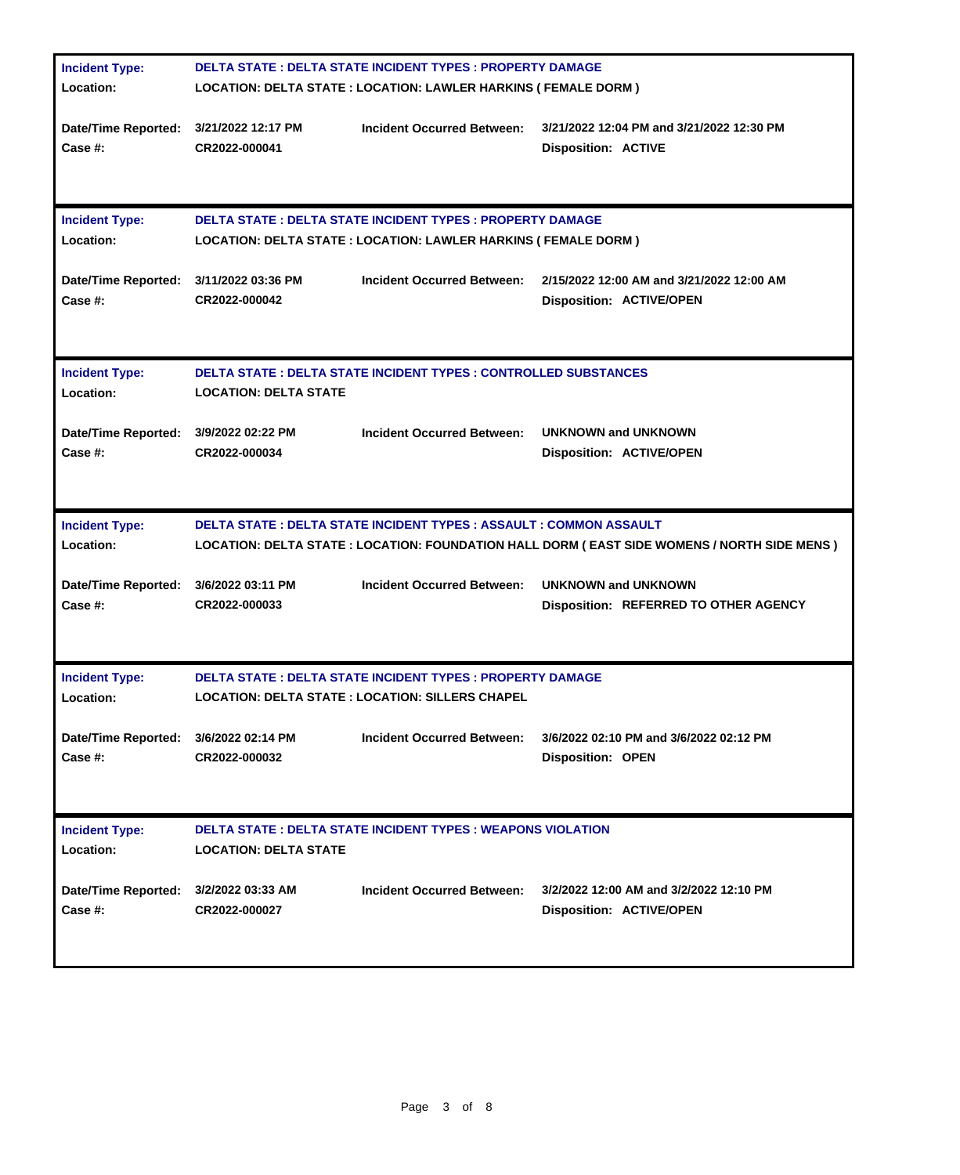| <b>Incident Type:</b>                             | <b>DELTA STATE: DELTA STATE INCIDENT TYPES: PROPERTY DAMAGE</b>                                                                              |                                                                                                                              |                                                                                               |  |
|---------------------------------------------------|----------------------------------------------------------------------------------------------------------------------------------------------|------------------------------------------------------------------------------------------------------------------------------|-----------------------------------------------------------------------------------------------|--|
| Location:                                         | LOCATION: DELTA STATE : LOCATION: LAWLER HARKINS ( FEMALE DORM )                                                                             |                                                                                                                              |                                                                                               |  |
| Date/Time Reported: 3/21/2022 12:17 PM<br>Case #: | CR2022-000041                                                                                                                                | <b>Incident Occurred Between:</b>                                                                                            | 3/21/2022 12:04 PM and 3/21/2022 12:30 PM<br><b>Disposition: ACTIVE</b>                       |  |
| <b>Incident Type:</b><br>Location:                | <b>DELTA STATE : DELTA STATE INCIDENT TYPES : PROPERTY DAMAGE</b><br><b>LOCATION: DELTA STATE : LOCATION: LAWLER HARKINS ( FEMALE DORM )</b> |                                                                                                                              |                                                                                               |  |
| <b>Date/Time Reported:</b><br>Case #:             | 3/11/2022 03:36 PM<br>CR2022-000042                                                                                                          | <b>Incident Occurred Between:</b>                                                                                            | 2/15/2022 12:00 AM and 3/21/2022 12:00 AM<br><b>Disposition: ACTIVE/OPEN</b>                  |  |
| <b>Incident Type:</b><br>Location:                | <b>LOCATION: DELTA STATE</b>                                                                                                                 | <b>DELTA STATE : DELTA STATE INCIDENT TYPES : CONTROLLED SUBSTANCES</b>                                                      |                                                                                               |  |
| Date/Time Reported: 3/9/2022 02:22 PM<br>Case #:  | CR2022-000034                                                                                                                                | <b>Incident Occurred Between:</b>                                                                                            | <b>UNKNOWN and UNKNOWN</b><br><b>Disposition: ACTIVE/OPEN</b>                                 |  |
| <b>Incident Type:</b><br>Location:                |                                                                                                                                              | <b>DELTA STATE : DELTA STATE INCIDENT TYPES : ASSAULT : COMMON ASSAULT</b>                                                   | LOCATION: DELTA STATE : LOCATION: FOUNDATION HALL DORM ( EAST SIDE WOMENS / NORTH SIDE MENS ) |  |
| Date/Time Reported: 3/6/2022 03:11 PM<br>Case #:  | CR2022-000033                                                                                                                                | <b>Incident Occurred Between:</b>                                                                                            | <b>UNKNOWN and UNKNOWN</b><br>Disposition: REFERRED TO OTHER AGENCY                           |  |
| <b>Incident Type:</b><br>Location:                |                                                                                                                                              | <b>DELTA STATE : DELTA STATE INCIDENT TYPES : PROPERTY DAMAGE</b><br><b>LOCATION: DELTA STATE : LOCATION: SILLERS CHAPEL</b> |                                                                                               |  |
| <b>Date/Time Reported:</b><br>Case #:             | 3/6/2022 02:14 PM<br>CR2022-000032                                                                                                           | <b>Incident Occurred Between:</b>                                                                                            | 3/6/2022 02:10 PM and 3/6/2022 02:12 PM<br><b>Disposition: OPEN</b>                           |  |
| <b>Incident Type:</b><br>Location:                | <b>LOCATION: DELTA STATE</b>                                                                                                                 | <b>DELTA STATE : DELTA STATE INCIDENT TYPES : WEAPONS VIOLATION</b>                                                          |                                                                                               |  |
| Date/Time Reported:<br>Case #:                    | 3/2/2022 03:33 AM<br>CR2022-000027                                                                                                           | <b>Incident Occurred Between:</b>                                                                                            | 3/2/2022 12:00 AM and 3/2/2022 12:10 PM<br><b>Disposition: ACTIVE/OPEN</b>                    |  |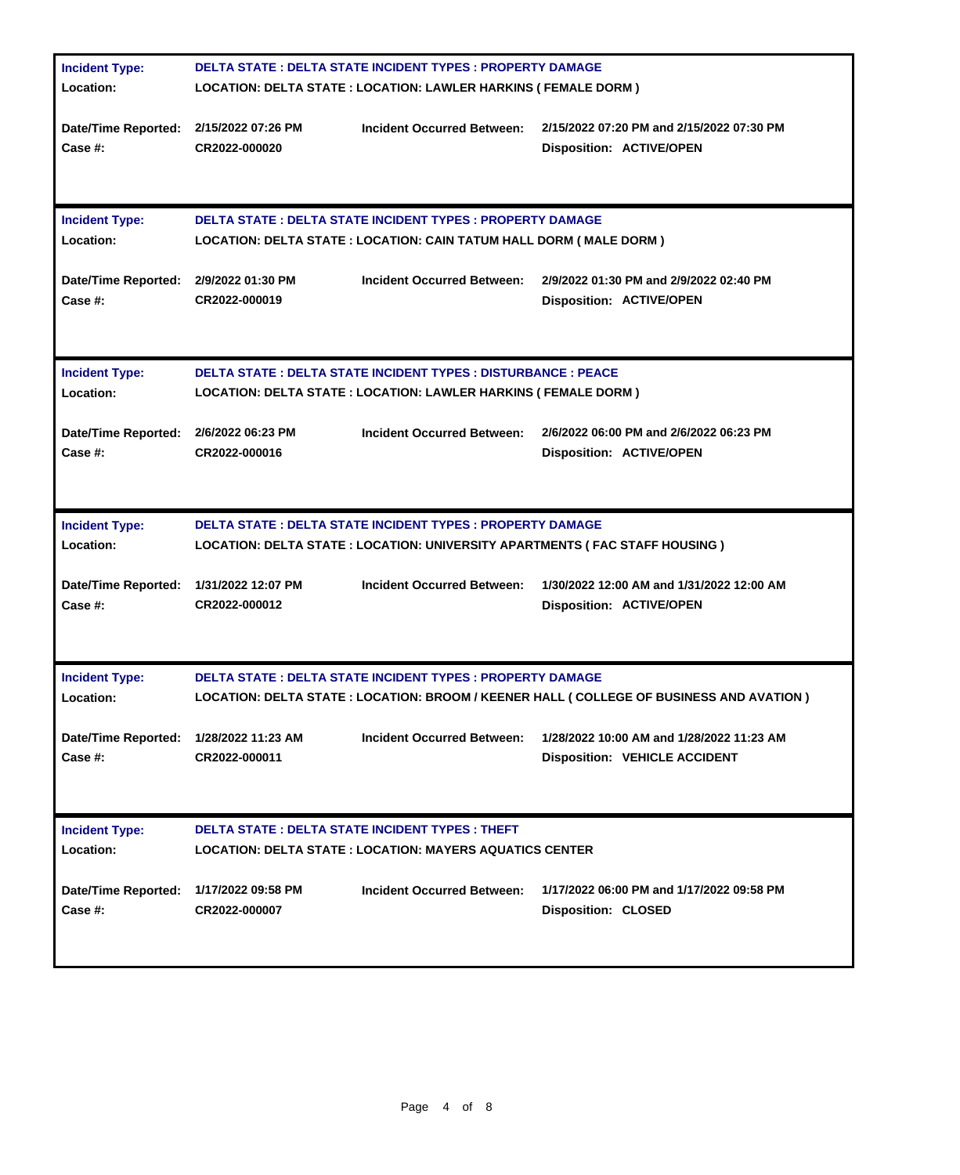| <b>Incident Type:</b>                                    | <b>DELTA STATE: DELTA STATE INCIDENT TYPES: PROPERTY DAMAGE</b>                                                                                    |                                                                   |                                                                                           |  |
|----------------------------------------------------------|----------------------------------------------------------------------------------------------------------------------------------------------------|-------------------------------------------------------------------|-------------------------------------------------------------------------------------------|--|
| Location:                                                | <b>LOCATION: DELTA STATE : LOCATION: LAWLER HARKINS ( FEMALE DORM )</b>                                                                            |                                                                   |                                                                                           |  |
| Date/Time Reported: 2/15/2022 07:26 PM<br>Case #:        | CR2022-000020                                                                                                                                      | <b>Incident Occurred Between:</b>                                 | 2/15/2022 07:20 PM and 2/15/2022 07:30 PM<br><b>Disposition: ACTIVE/OPEN</b>              |  |
| <b>Incident Type:</b><br>Location:                       | <b>DELTA STATE: DELTA STATE INCIDENT TYPES: PROPERTY DAMAGE</b><br><b>LOCATION: DELTA STATE : LOCATION: CAIN TATUM HALL DORM ( MALE DORM )</b>     |                                                                   |                                                                                           |  |
| Date/Time Reported: 2/9/2022 01:30 PM<br>Case #:         | CR2022-000019                                                                                                                                      | <b>Incident Occurred Between:</b>                                 | 2/9/2022 01:30 PM and 2/9/2022 02:40 PM<br><b>Disposition: ACTIVE/OPEN</b>                |  |
| <b>Incident Type:</b><br>Location:                       | <b>DELTA STATE: DELTA STATE INCIDENT TYPES: DISTURBANCE: PEACE</b><br>LOCATION: DELTA STATE : LOCATION: LAWLER HARKINS ( FEMALE DORM )             |                                                                   |                                                                                           |  |
| Date/Time Reported: 2/6/2022 06:23 PM<br>Case #:         | CR2022-000016                                                                                                                                      | Incident Occurred Between:                                        | 2/6/2022 06:00 PM and 2/6/2022 06:23 PM<br><b>Disposition: ACTIVE/OPEN</b>                |  |
| <b>Incident Type:</b><br>Location:                       | <b>DELTA STATE : DELTA STATE INCIDENT TYPES : PROPERTY DAMAGE</b><br>LOCATION: DELTA STATE : LOCATION: UNIVERSITY APARTMENTS ( FAC STAFF HOUSING ) |                                                                   |                                                                                           |  |
| Date/Time Reported: 1/31/2022 12:07 PM<br><b>Case #:</b> | CR2022-000012                                                                                                                                      | <b>Incident Occurred Between:</b>                                 | 1/30/2022 12:00 AM and 1/31/2022 12:00 AM<br><b>Disposition: ACTIVE/OPEN</b>              |  |
| <b>Incident Type:</b><br>Location:                       |                                                                                                                                                    | <b>DELTA STATE : DELTA STATE INCIDENT TYPES : PROPERTY DAMAGE</b> | LOCATION: DELTA STATE : LOCATION: BROOM / KEENER HALL ( COLLEGE OF BUSINESS AND AVATION ) |  |
| Date/Time Reported: 1/28/2022 11:23 AM<br>Case #:        | CR2022-000011                                                                                                                                      | <b>Incident Occurred Between:</b>                                 | 1/28/2022 10:00 AM and 1/28/2022 11:23 AM<br><b>Disposition: VEHICLE ACCIDENT</b>         |  |
| <b>Incident Type:</b><br>Location:                       | <b>DELTA STATE: DELTA STATE INCIDENT TYPES: THEFT</b><br><b>LOCATION: DELTA STATE : LOCATION: MAYERS AQUATICS CENTER</b>                           |                                                                   |                                                                                           |  |
| Date/Time Reported:<br><b>Case #:</b>                    | 1/17/2022 09:58 PM<br>CR2022-000007                                                                                                                | <b>Incident Occurred Between:</b>                                 | 1/17/2022 06:00 PM and 1/17/2022 09:58 PM<br><b>Disposition: CLOSED</b>                   |  |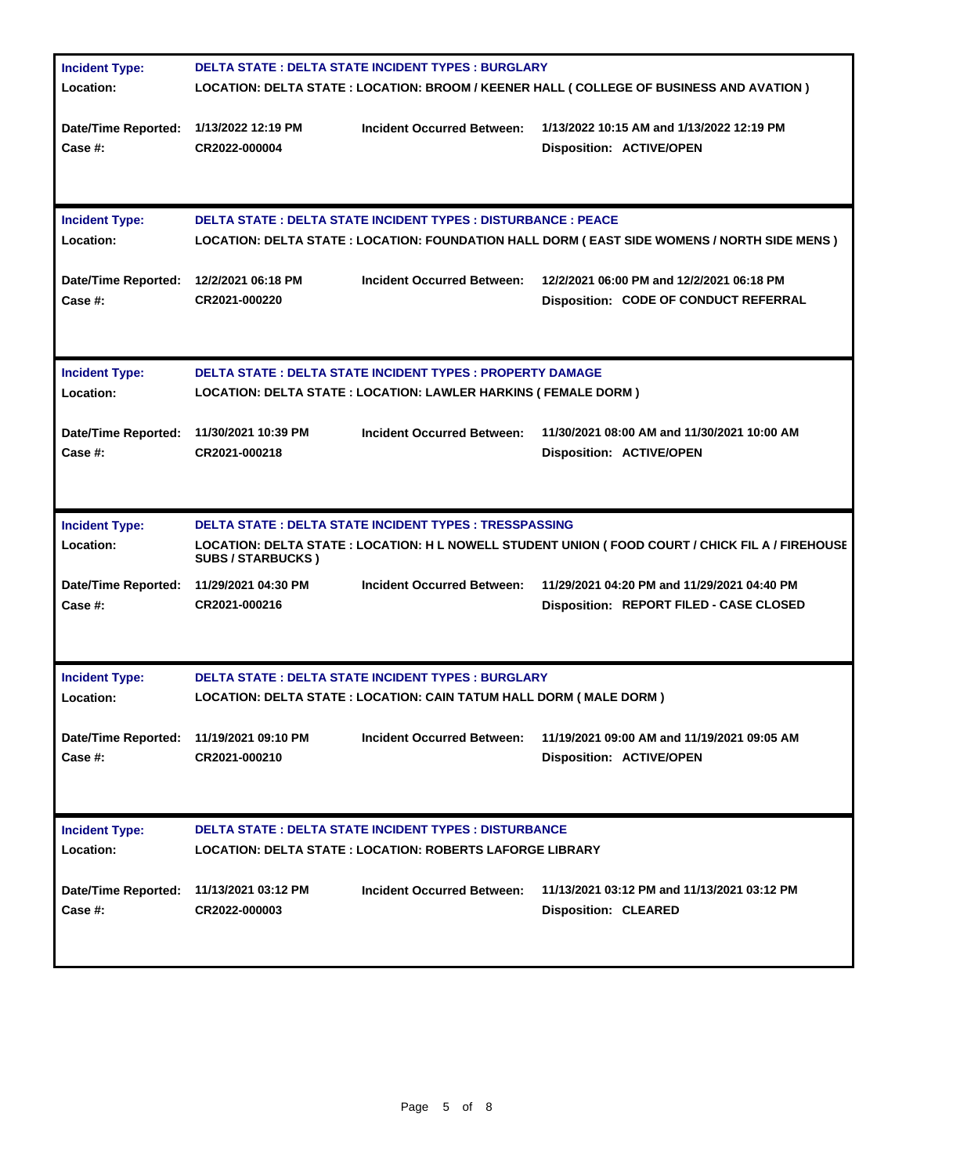| <b>Incident Type:</b>                              | <b>DELTA STATE : DELTA STATE INCIDENT TYPES : BURGLARY</b>                                                                                                             |                                                                             |                                                                                        |  |
|----------------------------------------------------|------------------------------------------------------------------------------------------------------------------------------------------------------------------------|-----------------------------------------------------------------------------|----------------------------------------------------------------------------------------|--|
| Location:                                          | LOCATION: DELTA STATE : LOCATION: BROOM / KEENER HALL ( COLLEGE OF BUSINESS AND AVATION )                                                                              |                                                                             |                                                                                        |  |
| Date/Time Reported: 1/13/2022 12:19 PM<br>Case #:  | CR2022-000004                                                                                                                                                          | <b>Incident Occurred Between:</b>                                           | 1/13/2022 10:15 AM and 1/13/2022 12:19 PM<br><b>Disposition: ACTIVE/OPEN</b>           |  |
| <b>Incident Type:</b><br>Location:                 | <b>DELTA STATE : DELTA STATE INCIDENT TYPES : DISTURBANCE : PEACE</b><br>LOCATION: DELTA STATE : LOCATION: FOUNDATION HALL DORM ( EAST SIDE WOMENS / NORTH SIDE MENS ) |                                                                             |                                                                                        |  |
| Date/Time Reported: 12/2/2021 06:18 PM<br>Case #:  | CR2021-000220                                                                                                                                                          | <b>Incident Occurred Between:</b>                                           | 12/2/2021 06:00 PM and 12/2/2021 06:18 PM<br>Disposition: CODE OF CONDUCT REFERRAL     |  |
| <b>Incident Type:</b><br>Location:                 | <b>DELTA STATE: DELTA STATE INCIDENT TYPES: PROPERTY DAMAGE</b><br>LOCATION: DELTA STATE : LOCATION: LAWLER HARKINS ( FEMALE DORM )                                    |                                                                             |                                                                                        |  |
| Date/Time Reported: 11/30/2021 10:39 PM<br>Case #: | CR2021-000218                                                                                                                                                          | <b>Incident Occurred Between:</b>                                           | 11/30/2021 08:00 AM and 11/30/2021 10:00 AM<br><b>Disposition: ACTIVE/OPEN</b>         |  |
| <b>Incident Type:</b>                              |                                                                                                                                                                        | <b>DELTA STATE: DELTA STATE INCIDENT TYPES: TRESSPASSING</b>                |                                                                                        |  |
| Location:                                          | LOCATION: DELTA STATE : LOCATION: H L NOWELL STUDENT UNION ( FOOD COURT / CHICK FIL A / FIREHOUSE<br><b>SUBS / STARBUCKS )</b>                                         |                                                                             |                                                                                        |  |
| Date/Time Reported: 11/29/2021 04:30 PM<br>Case #: | CR2021-000216                                                                                                                                                          | <b>Incident Occurred Between:</b>                                           | 11/29/2021 04:20 PM and 11/29/2021 04:40 PM<br>Disposition: REPORT FILED - CASE CLOSED |  |
| <b>Incident Type:</b>                              |                                                                                                                                                                        | <b>DELTA STATE: DELTA STATE INCIDENT TYPES: BURGLARY</b>                    |                                                                                        |  |
| Location:                                          |                                                                                                                                                                        | <b>LOCATION: DELTA STATE : LOCATION: CAIN TATUM HALL DORM ( MALE DORM )</b> |                                                                                        |  |
| Date/Time Reported: 11/19/2021 09:10 PM<br>Case #: | CR2021-000210                                                                                                                                                          | <b>Incident Occurred Between:</b>                                           | 11/19/2021 09:00 AM and 11/19/2021 09:05 AM<br><b>Disposition: ACTIVE/OPEN</b>         |  |
| <b>Incident Type:</b><br>Location:                 | <b>DELTA STATE : DELTA STATE INCIDENT TYPES : DISTURBANCE</b><br><b>LOCATION: DELTA STATE : LOCATION: ROBERTS LAFORGE LIBRARY</b>                                      |                                                                             |                                                                                        |  |
| <b>Date/Time Reported:</b><br><b>Case #:</b>       | 11/13/2021 03:12 PM<br>CR2022-000003                                                                                                                                   | <b>Incident Occurred Between:</b>                                           | 11/13/2021 03:12 PM and 11/13/2021 03:12 PM<br><b>Disposition: CLEARED</b>             |  |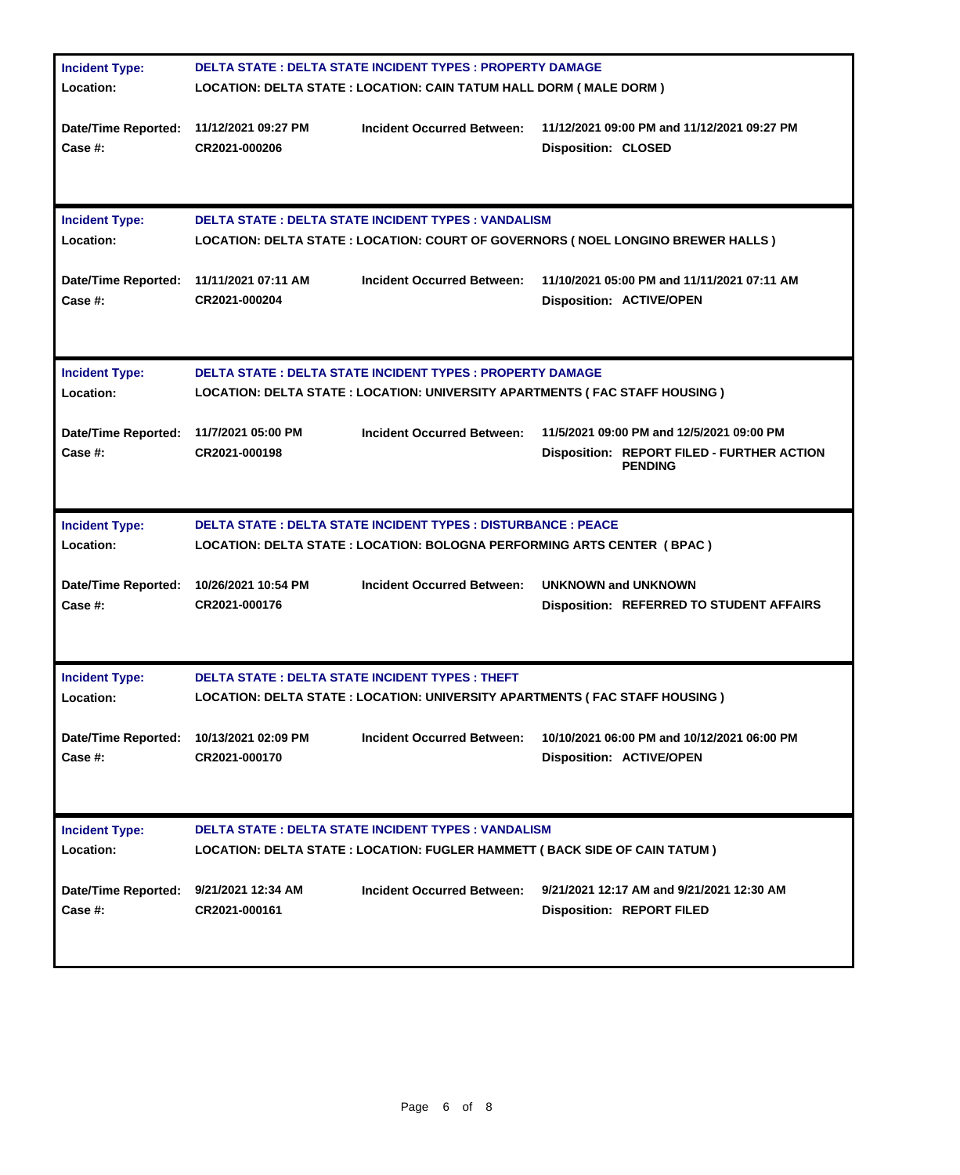| <b>Incident Type:</b>                              | <b>DELTA STATE: DELTA STATE INCIDENT TYPES: PROPERTY DAMAGE</b>                                                                                    |                                                       |                                                                                                                  |  |
|----------------------------------------------------|----------------------------------------------------------------------------------------------------------------------------------------------------|-------------------------------------------------------|------------------------------------------------------------------------------------------------------------------|--|
| Location:                                          | <b>LOCATION: DELTA STATE : LOCATION: CAIN TATUM HALL DORM ( MALE DORM )</b>                                                                        |                                                       |                                                                                                                  |  |
| Date/Time Reported: 11/12/2021 09:27 PM<br>Case #: | CR2021-000206                                                                                                                                      | <b>Incident Occurred Between:</b>                     | 11/12/2021 09:00 PM and 11/12/2021 09:27 PM<br><b>Disposition: CLOSED</b>                                        |  |
| <b>Incident Type:</b><br>Location:                 | <b>DELTA STATE : DELTA STATE INCIDENT TYPES : VANDALISM</b><br>LOCATION: DELTA STATE : LOCATION: COURT OF GOVERNORS (NOEL LONGINO BREWER HALLS )   |                                                       |                                                                                                                  |  |
| Date/Time Reported: 11/11/2021 07:11 AM<br>Case #: | CR2021-000204                                                                                                                                      | <b>Incident Occurred Between:</b>                     | 11/10/2021 05:00 PM and 11/11/2021 07:11 AM<br><b>Disposition: ACTIVE/OPEN</b>                                   |  |
| <b>Incident Type:</b><br>Location:                 | <b>DELTA STATE: DELTA STATE INCIDENT TYPES: PROPERTY DAMAGE</b><br>LOCATION: DELTA STATE : LOCATION: UNIVERSITY APARTMENTS ( FAC STAFF HOUSING )   |                                                       |                                                                                                                  |  |
| Date/Time Reported: 11/7/2021 05:00 PM<br>Case #:  | CR2021-000198                                                                                                                                      | <b>Incident Occurred Between:</b>                     | 11/5/2021 09:00 PM and 12/5/2021 09:00 PM<br><b>Disposition: REPORT FILED - FURTHER ACTION</b><br><b>PENDING</b> |  |
| <b>Incident Type:</b><br>Location:                 | <b>DELTA STATE : DELTA STATE INCIDENT TYPES : DISTURBANCE : PEACE</b><br>LOCATION: DELTA STATE : LOCATION: BOLOGNA PERFORMING ARTS CENTER ( BPAC ) |                                                       |                                                                                                                  |  |
| Date/Time Reported: 10/26/2021 10:54 PM<br>Case #: | CR2021-000176                                                                                                                                      | <b>Incident Occurred Between:</b>                     | <b>UNKNOWN and UNKNOWN</b><br><b>Disposition: REFERRED TO STUDENT AFFAIRS</b>                                    |  |
| <b>Incident Type:</b><br>Location:                 |                                                                                                                                                    | <b>DELTA STATE: DELTA STATE INCIDENT TYPES: THEFT</b> | LOCATION: DELTA STATE : LOCATION: UNIVERSITY APARTMENTS ( FAC STAFF HOUSING )                                    |  |
| Date/Time Reported: 10/13/2021 02:09 PM<br>Case #: | CR2021-000170                                                                                                                                      | <b>Incident Occurred Between:</b>                     | 10/10/2021 06:00 PM and 10/12/2021 06:00 PM<br><b>Disposition: ACTIVE/OPEN</b>                                   |  |
| <b>Incident Type:</b><br>Location:                 | <b>DELTA STATE : DELTA STATE INCIDENT TYPES : VANDALISM</b><br>LOCATION: DELTA STATE : LOCATION: FUGLER HAMMETT ( BACK SIDE OF CAIN TATUM )        |                                                       |                                                                                                                  |  |
| Date/Time Reported:<br>Case #:                     | 9/21/2021 12:34 AM<br>CR2021-000161                                                                                                                | <b>Incident Occurred Between:</b>                     | 9/21/2021 12:17 AM and 9/21/2021 12:30 AM<br><b>Disposition: REPORT FILED</b>                                    |  |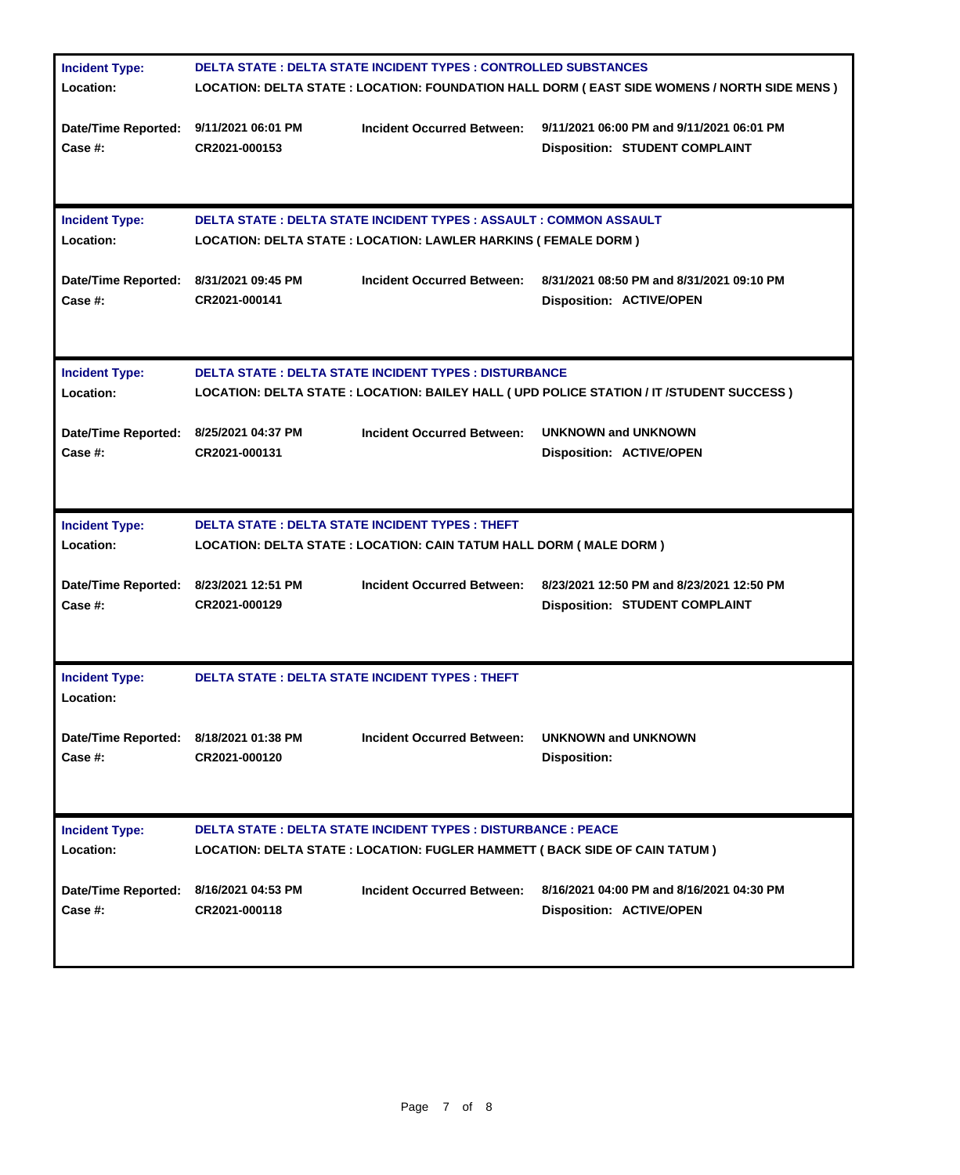| <b>Incident Type:</b><br>Location:                | <b>DELTA STATE : DELTA STATE INCIDENT TYPES : CONTROLLED SUBSTANCES</b><br>LOCATION: DELTA STATE : LOCATION: FOUNDATION HALL DORM ( EAST SIDE WOMENS / NORTH SIDE MENS ) |  |  |  |  |
|---------------------------------------------------|--------------------------------------------------------------------------------------------------------------------------------------------------------------------------|--|--|--|--|
| Date/Time Reported: 9/11/2021 06:01 PM<br>Case #: | <b>Incident Occurred Between:</b><br>9/11/2021 06:00 PM and 9/11/2021 06:01 PM<br>CR2021-000153<br><b>Disposition: STUDENT COMPLAINT</b>                                 |  |  |  |  |
| <b>Incident Type:</b><br>Location:                | <b>DELTA STATE : DELTA STATE INCIDENT TYPES : ASSAULT : COMMON ASSAULT</b><br>LOCATION: DELTA STATE : LOCATION: LAWLER HARKINS ( FEMALE DORM )                           |  |  |  |  |
| Date/Time Reported: 8/31/2021 09:45 PM<br>Case #: | <b>Incident Occurred Between:</b><br>8/31/2021 08:50 PM and 8/31/2021 09:10 PM<br>CR2021-000141<br><b>Disposition: ACTIVE/OPEN</b>                                       |  |  |  |  |
| <b>Incident Type:</b><br>Location:                | <b>DELTA STATE: DELTA STATE INCIDENT TYPES: DISTURBANCE</b><br>LOCATION: DELTA STATE : LOCATION: BAILEY HALL ( UPD POLICE STATION / IT /STUDENT SUCCESS )                |  |  |  |  |
| Date/Time Reported: 8/25/2021 04:37 PM<br>Case #: | <b>Incident Occurred Between:</b><br><b>UNKNOWN and UNKNOWN</b><br>CR2021-000131<br><b>Disposition: ACTIVE/OPEN</b>                                                      |  |  |  |  |
| <b>Incident Type:</b><br>Location:                | <b>DELTA STATE: DELTA STATE INCIDENT TYPES: THEFT</b><br>LOCATION: DELTA STATE : LOCATION: CAIN TATUM HALL DORM ( MALE DORM )                                            |  |  |  |  |
| Date/Time Reported: 8/23/2021 12:51 PM<br>Case #: | <b>Incident Occurred Between:</b><br>8/23/2021 12:50 PM and 8/23/2021 12:50 PM<br>CR2021-000129<br><b>Disposition: STUDENT COMPLAINT</b>                                 |  |  |  |  |
| <b>Incident Type:</b><br>Location:                | <b>DELTA STATE: DELTA STATE INCIDENT TYPES: THEFT</b>                                                                                                                    |  |  |  |  |
| Date/Time Reported: 8/18/2021 01:38 PM<br>Case #: | <b>UNKNOWN and UNKNOWN</b><br><b>Incident Occurred Between:</b><br>CR2021-000120<br><b>Disposition:</b>                                                                  |  |  |  |  |
| <b>Incident Type:</b><br>Location:                | <b>DELTA STATE : DELTA STATE INCIDENT TYPES : DISTURBANCE : PEACE</b><br>LOCATION: DELTA STATE : LOCATION: FUGLER HAMMETT ( BACK SIDE OF CAIN TATUM )                    |  |  |  |  |
| <b>Date/Time Reported:</b><br><b>Case #:</b>      | 8/16/2021 04:00 PM and 8/16/2021 04:30 PM<br>8/16/2021 04:53 PM<br><b>Incident Occurred Between:</b><br>CR2021-000118<br><b>Disposition: ACTIVE/OPEN</b>                 |  |  |  |  |